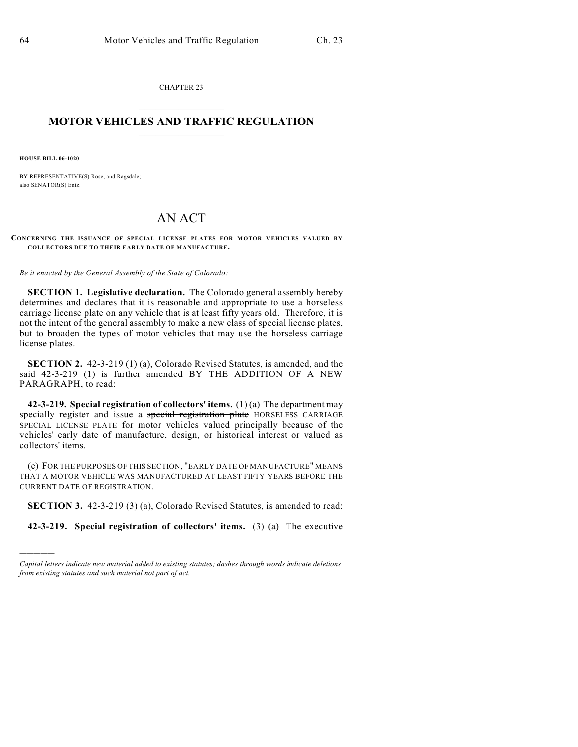CHAPTER 23  $\mathcal{L}_\text{max}$  . The set of the set of the set of the set of the set of the set of the set of the set of the set of the set of the set of the set of the set of the set of the set of the set of the set of the set of the set

## **MOTOR VEHICLES AND TRAFFIC REGULATION**  $\frac{1}{2}$  ,  $\frac{1}{2}$  ,  $\frac{1}{2}$  ,  $\frac{1}{2}$  ,  $\frac{1}{2}$  ,  $\frac{1}{2}$  ,  $\frac{1}{2}$  ,  $\frac{1}{2}$

**HOUSE BILL 06-1020**

)))))

BY REPRESENTATIVE(S) Rose, and Ragsdale; also SENATOR(S) Entz.

## AN ACT

**CONCERNING THE ISSUANCE OF SPECIAL LICENSE PLATES FOR MOTOR VEHICLES VALUED BY COLLECTORS DUE TO THEIR EARLY DATE OF MANUFACTURE.**

*Be it enacted by the General Assembly of the State of Colorado:*

**SECTION 1. Legislative declaration.** The Colorado general assembly hereby determines and declares that it is reasonable and appropriate to use a horseless carriage license plate on any vehicle that is at least fifty years old. Therefore, it is not the intent of the general assembly to make a new class of special license plates, but to broaden the types of motor vehicles that may use the horseless carriage license plates.

**SECTION 2.** 42-3-219 (1) (a), Colorado Revised Statutes, is amended, and the said 42-3-219 (1) is further amended BY THE ADDITION OF A NEW PARAGRAPH, to read:

**42-3-219. Special registration of collectors' items.** (1) (a) The department may specially register and issue a special registration plate HORSELESS CARRIAGE SPECIAL LICENSE PLATE for motor vehicles valued principally because of the vehicles' early date of manufacture, design, or historical interest or valued as collectors' items.

(c) FOR THE PURPOSES OF THIS SECTION, "EARLY DATE OF MANUFACTURE" MEANS THAT A MOTOR VEHICLE WAS MANUFACTURED AT LEAST FIFTY YEARS BEFORE THE CURRENT DATE OF REGISTRATION.

**SECTION 3.** 42-3-219 (3) (a), Colorado Revised Statutes, is amended to read:

**42-3-219. Special registration of collectors' items.** (3) (a) The executive

*Capital letters indicate new material added to existing statutes; dashes through words indicate deletions from existing statutes and such material not part of act.*